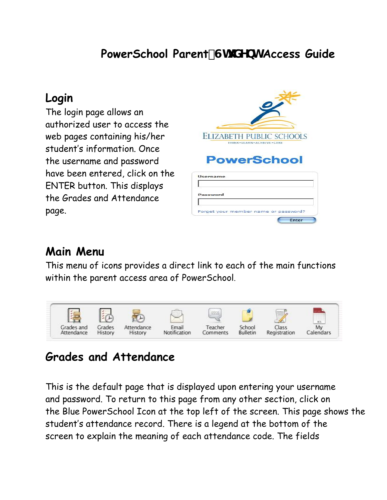## **PowerSchool Parent#Ghi XYbh Access Guide**

### **Login**

The login page allows an authorized user to access the web pages containing his/her student's information. Once the username and password have been entered, click on the ENTER button. This displays the Grades and Attendance page.

| <b>ELIZABETH PUBLIC SCHOOLS</b><br>THINK . LEARN . ACHIEVE . CARE |
|-------------------------------------------------------------------|
| <b>PowerSchool</b>                                                |
| <b>Username</b>                                                   |
| Password                                                          |

Forget your member nam

seeword?

Enter

### **Main Menu**

This menu of icons provides a direct link to each of the main functions within the parent access area of PowerSchool.



## **Grades and Attendance**

This is the default page that is displayed upon entering your username and password. To return to this page from any other section, click on the Blue PowerSchool Icon at the top left of the screen. This page shows the student's attendance record. There is a legend at the bottom of the screen to explain the meaning of each attendance code. The fields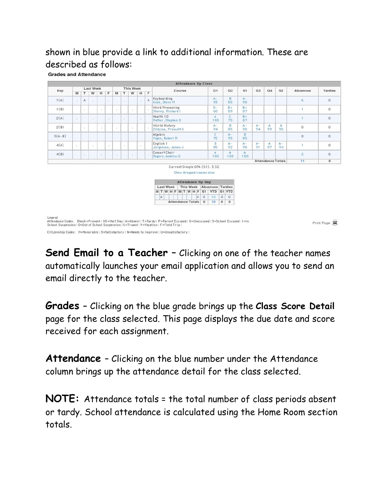#### shown in blue provide a link to additional information. These are described as follows:

**Grades and Attendance** 

|          |    |           |                  |    |    |    |    |                  |    |   | <b>Attendance By Class</b>                                                             |                |             |             |                         |             |             |                |                          |                |                |
|----------|----|-----------|------------------|----|----|----|----|------------------|----|---|----------------------------------------------------------------------------------------|----------------|-------------|-------------|-------------------------|-------------|-------------|----------------|--------------------------|----------------|----------------|
| Exp      |    |           | <b>Last Week</b> |    |    |    |    | <b>This Week</b> |    |   | Course                                                                                 |                | Q1          |             | Q2                      | S1          | Q3          | Q <sub>4</sub> | S2                       | Absences       | <b>Tardies</b> |
|          | M  | T         | W                | H  | F. | M  | T  | W                | H  | F |                                                                                        |                |             |             |                         |             |             |                |                          |                |                |
| 1(A)     | ĸ. | $\forall$ | <b>SOF</b>       |    | X. |    | 颍  |                  | 12 | A | Keyboarding<br>Kook, Steve M                                                           |                | $A -$<br>93 |             | B<br>85                 | $A -$<br>90 |             |                |                          | 6              | $\mathbf{0}$   |
| 1(B)     |    | ×         |                  | ×. |    | ă. |    | ×                |    | × | Word Processing<br>Shorey, Richard I                                                   |                | $D -$<br>60 |             | $B +$<br>89             | $B +$<br>87 |             |                |                          |                | 0              |
| 2(A)     | ×. |           | P.               |    | ×  |    | ö. |                  | ĸ. |   | Health 10<br>Rutter, Stephen D                                                         |                | Α.<br>100   |             | C.<br>75                | $B +$<br>87 |             |                |                          |                | $\theta$       |
| 2(B)     |    | 81        |                  | Ş. |    | 23 |    | ×                |    |   | World History<br>Zildjian, Prescott X                                                  |                | $A -$<br>94 |             | B<br>85                 | $A -$<br>90 | $A -$<br>94 | A<br>99        | A<br>98                  | $\Omega$       | $\circ$        |
| $3(A-B)$ |    |           |                  |    |    |    |    |                  |    |   | Algebra<br>Vigen, Robert R                                                             |                | c.<br>75    |             | $A -$<br>95             | B<br>85     |             |                |                          | $\Omega$       | $\Omega$       |
| 4(A)     | ×  |           | ×                |    | ×  |    | ÷  |                  | ×  |   | English 1<br>Jorgenson, James J.                                                       |                | B<br>85     |             | $A-$<br>92 <sup>°</sup> | $A -$<br>90 | $A -$<br>91 | A<br>97        | $A -$<br>94              |                | $\theta$       |
| 4(B)     |    | ×.        |                  | ã. |    | ŵ. |    | 8                |    |   | Concert Choir<br>Rogers, Andrew G                                                      |                | Α.<br>100   |             | A<br>100                | A<br>100    |             |                |                          | $\overline{2}$ | $\circ$        |
|          |    |           |                  |    |    |    |    |                  |    |   |                                                                                        |                |             |             |                         |             |             |                | <b>Attendance Totals</b> | 11             | $\circ$        |
|          |    |           |                  |    |    |    |    |                  |    |   | Current Simple GPA (S1): 3.52<br>Show dropped classes also<br><b>Attendance By Day</b> |                |             |             |                         |             |             |                |                          |                |                |
|          |    |           |                  |    |    |    |    |                  |    |   | This Week Absences Tardies<br><b>Last Week</b>                                         |                |             |             |                         |             |             |                |                          |                |                |
|          |    |           |                  |    |    |    |    |                  |    |   | MTWHFMTWHFS1                                                                           |                | YTD S1 YTD  |             |                         |             |             |                |                          |                |                |
|          |    |           |                  |    |    |    |    |                  |    |   | IA.<br>A                                                                               | 0              | 10          | $\Omega$    | $\mathbf{0}$            |             |             |                |                          |                |                |
|          |    |           |                  |    |    |    |    |                  |    |   | <b>Attendance Totals</b>                                                               | $\overline{0}$ | 10          | $\mathbf 0$ | $\circ$                 |             |             |                |                          |                |                |

Legend<br>Attendance Codes: Blank=Present | HD=Half Day | A=Absent | T=Tardy | P=Parent Excused | U=Unexcused | S=School Excused | I=In<br>School Suspension | O=Out of School Suspension | X=Truant | V=Vacation | F=Field Trip |

Citizenship Codes: H=Honorable | S=Satisfactory | N=Needs to improve | U=Unsatisfactory |

**Send Email to a Teacher** - Clicking on one of the teacher names automatically launches your email application and allows you to send an email directly to the teacher.

Print Page 員

**Grades –** Clicking on the blue grade brings up the **Class Score Detail**  page for the class selected. This page displays the due date and score received for each assignment.

**Attendance** – Clicking on the blue number under the Attendance column brings up the attendance detail for the class selected.

**NOTE:** Attendance totals = the total number of class periods absent or tardy. School attendance is calculated using the Home Room section totals.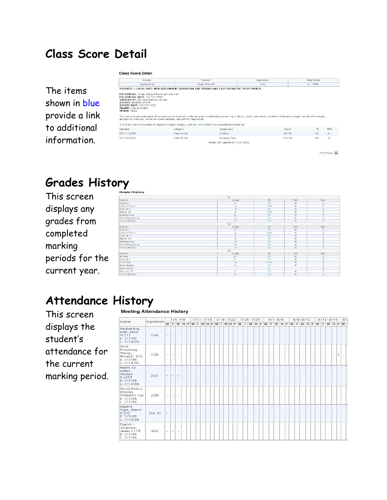## **Class Score Detail**

#### **Class Score Detail**

|                                              | Course                                                                                                                                                                                                                                                                                                                                                                                                                                                                                                                                                                                                       |                     | Teacher                          | Expression | Final Grade            |       |
|----------------------------------------------|--------------------------------------------------------------------------------------------------------------------------------------------------------------------------------------------------------------------------------------------------------------------------------------------------------------------------------------------------------------------------------------------------------------------------------------------------------------------------------------------------------------------------------------------------------------------------------------------------------------|---------------------|----------------------------------|------------|------------------------|-------|
|                                              | Keyboarding                                                                                                                                                                                                                                                                                                                                                                                                                                                                                                                                                                                                  |                     | Kook, Steve M                    | 1(A)       | $A - 93%$              |       |
| The items<br>shown in blue<br>provide a link | PARENTS - I WILL POST NEW ASSIGNMENT GRADES ON THE SECOND AND LAST FRIDAY OF EVERY MONTH.<br><b>CREDENTIAL:</b> Single Subject Teaching Credential<br><b>CREDENTIAL DATE: 12/15/1994</b><br><b>UNIVERSITY:</b> San Jose State University<br>DEGREE: Bachelor of Arts<br>DEGREE DATE: 06/17/1992<br>MAJOR: Liberal Studies<br>MINOR: Music<br>This course is an examination of communication involved in interpersonal relationships occurring in family, social, and career situations. Relevant concepts include self-concept,<br>perception, listening, nonverbal communication, and conflict negotiation. |                     |                                  |            |                        |       |
| to additional                                | To find out more information on Speech in today's society, visit this site to find links and additional material.                                                                                                                                                                                                                                                                                                                                                                                                                                                                                            |                     |                                  |            |                        |       |
|                                              | Due Date                                                                                                                                                                                                                                                                                                                                                                                                                                                                                                                                                                                                     | Category            | Assignment                       |            | $\frac{9}{6}$<br>Score | Grd   |
|                                              | 07/11/2005                                                                                                                                                                                                                                                                                                                                                                                                                                                                                                                                                                                                   | Total Points        | PreTest                          |            | 92<br>23/25            | $A -$ |
| information.                                 | 07/13/2005                                                                                                                                                                                                                                                                                                                                                                                                                                                                                                                                                                                                   | <b>Total Points</b> | Accuracy Test                    |            | 95<br>9.5/10           | $A -$ |
|                                              |                                                                                                                                                                                                                                                                                                                                                                                                                                                                                                                                                                                                              |                     | Grades last updated on 1/13/2006 |            |                        |       |

Print Page

### **Grades History**

This screen displays any grades from completed marking periods for the current year.

|                | 01    |          |     |            |
|----------------|-------|----------|-----|------------|
| ourse          | Grade | $\%$     | Cit | Hrs.       |
|                |       | 75       |     |            |
| Igebra         | c     |          | H.  | $\Omega$   |
| oncert Choir   | A.    | 100      | н   | $\circ$    |
| nglish 1       | в     | 85       | н   | $\alpha$   |
| ealth 10       | A     | 100.     | н   | $^{\circ}$ |
| eyboarding     | $A -$ | 93       | н   | $\circ$    |
| ord Processing | $D -$ | 60       | н   | $\circ$    |
| orld History   | $A -$ | 94       | H   | $\circ$    |
|                | Q2    |          |     |            |
| ourse          | Grade | $\%$     | Cit | Hrs.       |
| gebra          | $A -$ | 95       | H   | $\circ$    |
| oncert Choir   | А     | 100      | н   | $\Omega$   |
| nglish 1       | $A -$ | 92       | H   | $\circ$    |
| ealth 10       | C.    | 75       | н   | $\circ$    |
| eyboarding     | B.    | 85       | H   | $\circ$    |
| ord Precessing | $B +$ | 89       | н   | $\Omega$   |
| orld History   | в.    | 85       | H.  | $\circ$    |
|                | Q3    |          |     |            |
| purse          | Grade | $98$     | Cit | Hrs        |
| iology         | $B -$ | 80       | н   | $\circ$    |
| nglish 1       | $A -$ | 91       | H   | $\circ$    |
| irst Aid       | A     | 100      | н   | $\circ$    |
| ome Repair     | $A -$ | 91       | H.  | $\circ$    |
| tro to Art     |       | $\Omega$ |     | $^{\circ}$ |
| hys Ed 10      | F.    | 15       | н   | $\circ$    |
| orld History   | $A-$  | 94       | н   | $\circ$    |

## **Attendance History**

This screen displays the student's attendance for the current marking period.

|  | <b>Meeting Attendance History</b> |  |
|--|-----------------------------------|--|
|  |                                   |  |

| Course                                                                     | Expression |                  |                | $7/4 - 7/8$                                                       |    |    |               |        | $7/11 - 7/15$               |        |    |    |    | $7/18 - 7/22$ |    |        |    |        | $7/25 - 7/29$ |        |        |        |    | $8/1 - 8/5$ |          |         |    |        | $8/8 - 8/12$ |    |    |            |     | $8/15 - 8/19$ |   |                 | 8/2 |
|----------------------------------------------------------------------------|------------|------------------|----------------|-------------------------------------------------------------------|----|----|---------------|--------|-----------------------------|--------|----|----|----|---------------|----|--------|----|--------|---------------|--------|--------|--------|----|-------------|----------|---------|----|--------|--------------|----|----|------------|-----|---------------|---|-----------------|-----|
|                                                                            |            |                  |                | M T W H F M T W H F M T W H F M T W H F M T W H F M T W H F M T W |    |    |               |        |                             |        |    |    |    |               |    |        |    |        |               |        |        |        |    |             |          |         |    |        |              |    |    |            |     | HFMTWHFMT     |   |                 |     |
| Keyboarding<br>Kook, Steve<br>M <sub>211</sub><br>E: 7/7/05<br>L: 1/14/06  | 1(A)       | $\Delta \phi$    | $\overline{a}$ | $\overline{\phantom{a}}$                                          | ÷  |    |               | ÷.     |                             | $\sim$ |    | ò, |    | ÷             |    | $\sim$ |    | $\sim$ |               | $\sim$ |        | ÷      |    | ×.          |          | $\cdot$ |    | $\sim$ |              | ÷. |    | $\epsilon$ |     | ÷.            |   | $\sim$          |     |
| Word<br>Processing<br>Shorey,<br>Richard   210<br>E: 7/7/05<br>L: 1/14/06  | 1(B)       | $\sim$           | ÷.             | $\sim$                                                            |    |    | $\sim$ $\sim$ |        | $\mathcal{L}_{\mathcal{P}}$ |        | a. |    | i. |               | h. |        | ŝ. |        | $\sim 10$     |        | $\sim$ |        | ö, |             | <b>A</b> |         | ó. |        | ×            |    | ×. |            | -23 |               |   | $-1$            | ×.  |
| Health 10<br>Rutter,<br>Stephen<br><b>DLH23</b><br>E: 7/7/05<br>L: 1/14/06 | 2(A)       | $\Delta_{\rm c}$ | $\sim$         | $\overline{\phantom{a}}$                                          | ×  |    |               | $\sim$ |                             | $\sim$ |    | ×. |    | $\sim$        |    | ×      |    | ö.     |               | $\sim$ |        | ×      |    | o.          |          | $\sim$  |    | ٠.     |              | ×. |    | $\sim$     |     | ×             |   | $\mathcal{F}$ . |     |
| World History<br>Zildjian,<br>Prescott X 122<br>E: 7/7/05<br>L: 7/7/06     | 2(B)       | A.               | $\omega$       | $\overline{\phantom{a}}$                                          |    | 98 | ÷             |        | 彩                           |        | ×, |    | ÷  |               | E. |        | Ÿ. |        | 28.           |        | ч.     |        | ×. |             | ÷        |         | п. |        | ă.           |    | ×  |            | ×   |               | ÷ |                 | ÷.  |
| Algebra<br>Vigen, Robert<br>R 222<br>E: 7/7/05<br>L: 1/14/06               | $3(A-B)$   | $\rightarrow$    | $\sim$         | $\overline{\phantom{a}}$                                          |    |    |               |        |                             |        |    |    |    |               |    |        |    |        |               |        |        |        |    |             |          |         |    |        |              |    |    |            |     |               |   |                 |     |
| English 1<br>Jorgenson,<br>James J 115<br>E: 7/7/05<br>L: 7/7/06           | 4(A)       | $-1$             |                | $\sim$                                                            | s. |    |               | ×.     |                             | 25     |    | ×. |    | J.            |    |        |    | o.     |               | ÷.     |        | $\sim$ |    | ÷.          |          | ÷.      |    | ÷.     |              | S) |    | ÷.         |     | ×.            |   | <b>Section</b>  | u.  |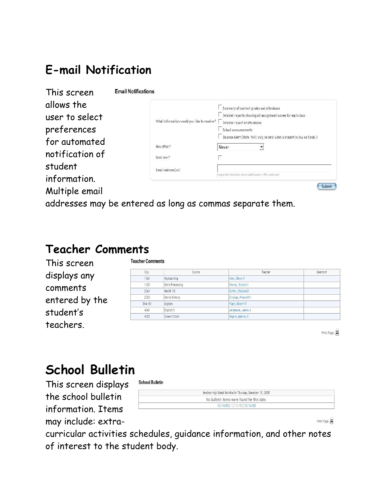# **E-mail Notification**

**Email Notifications** 

| This screen     |
|-----------------|
| allows the      |
| user to select  |
| preferences     |
| for automated   |
| notification of |
| student         |
| information.    |
| Multiple email  |

|                                             | Summary of current grades and attendance                                |
|---------------------------------------------|-------------------------------------------------------------------------|
|                                             | Detailed reports showing all assignment scores for each class           |
| What information would you like to receive? | Detailed report of attendance                                           |
|                                             | School announcements                                                    |
|                                             | Balance Alert (Note: Will only be sent when a student is low on funds.) |
| How often?                                  | Never                                                                   |
| Send now?                                   | n                                                                       |
| Email Address(es)                           |                                                                         |
|                                             | (separate multiple email addresses with commas)                         |

addresses may be entered as long as commas separate them.

# **Teacher Comments**

| This screen    | <b>Teacher Comments</b> |                 |                      |         |
|----------------|-------------------------|-----------------|----------------------|---------|
|                | Exp.                    | Course          | Teacher              | Comment |
| displays any   | 1(A)                    | Keyboarding     | Kook, Steve M        |         |
| comments       | 1(B)                    | Word Processing | Shorey, Richard I    |         |
|                | 2(A)                    | Health 10       | Rutter, Stephen D    |         |
| entered by the | 2(B)                    | World History   | Zildjian, Prescott X |         |
|                | $3(A-B)$                | Algebra         | Vigen, Robert R.     |         |
| student's      | 4(A)                    | English 1       | Jorgenson, James J   |         |
|                | 4(B)                    | Concert Choir   | Rogers, Andrew G     |         |
| teachers.      |                         |                 |                      |         |

Print Page 員

# **School Bulletin**

This screen displays the school bulletin information. Items may include: extra-

| Needham High School Bulletin for Thursday, December 15, 2005 |  |
|--------------------------------------------------------------|--|
| No bulletin items were found for this date.                  |  |
| 12/14/05   12/15/05   12/16/05                               |  |
|                                                              |  |

Print Page 員

curricular activities schedules, guidance information, and other notes of interest to the student body.

**School Bulletin**